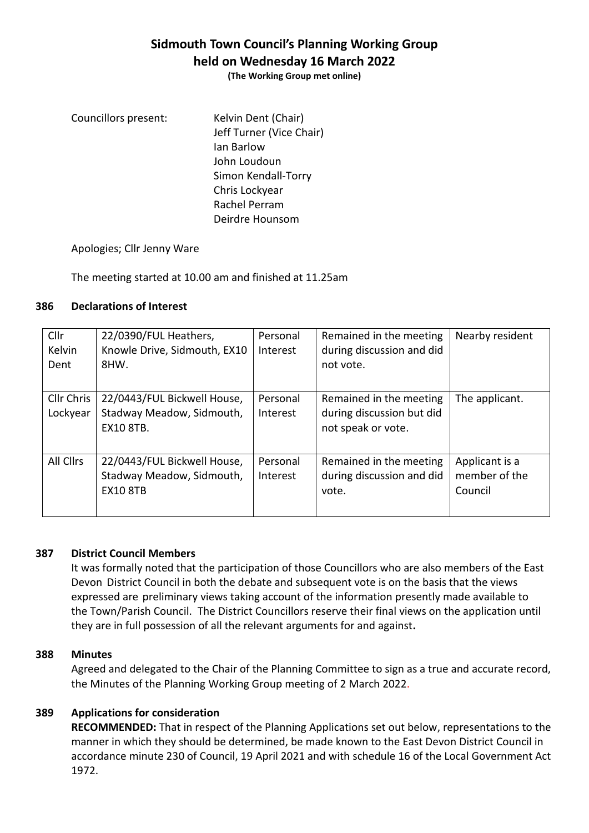# **Sidmouth Town Council's Planning Working Group held on Wednesday 16 March 2022**

**(The Working Group met online)**

Councillors present: Kelvin Dent (Chair) Jeff Turner (Vice Chair) Ian Barlow John Loudoun Simon Kendall-Torry Chris Lockyear Rachel Perram Deirdre Hounsom

Apologies; Cllr Jenny Ware

The meeting started at 10.00 am and finished at 11.25am

### **386 Declarations of Interest**

| Cllr<br><b>Kelvin</b>  | 22/0390/FUL Heathers,<br>Knowle Drive, Sidmouth, EX10                        | Personal<br>Interest | Remained in the meeting<br>during discussion and did                       | Nearby resident                            |
|------------------------|------------------------------------------------------------------------------|----------------------|----------------------------------------------------------------------------|--------------------------------------------|
| Dent                   | 8HW.                                                                         |                      | not vote.                                                                  |                                            |
| Cllr Chris<br>Lockyear | 22/0443/FUL Bickwell House,<br>Stadway Meadow, Sidmouth,<br><b>EX10 8TB.</b> | Personal<br>Interest | Remained in the meeting<br>during discussion but did<br>not speak or vote. | The applicant.                             |
| All Cllrs              | 22/0443/FUL Bickwell House,<br>Stadway Meadow, Sidmouth,<br><b>EX10 8TB</b>  | Personal<br>Interest | Remained in the meeting<br>during discussion and did<br>vote.              | Applicant is a<br>member of the<br>Council |

### **387 District Council Members**

It was formally noted that the participation of those Councillors who are also members of the East Devon District Council in both the debate and subsequent vote is on the basis that the views expressed are preliminary views taking account of the information presently made available to the Town/Parish Council. The District Councillors reserve their final views on the application until they are in full possession of all the relevant arguments for and against**.**

### **388 Minutes**

Agreed and delegated to the Chair of the Planning Committee to sign as a true and accurate record, the Minutes of the Planning Working Group meeting of 2 March 2022.

### **389 Applications for consideration**

**RECOMMENDED:** That in respect of the Planning Applications set out below, representations to the manner in which they should be determined, be made known to the East Devon District Council in accordance minute 230 of Council, 19 April 2021 and with schedule 16 of the Local Government Act 1972.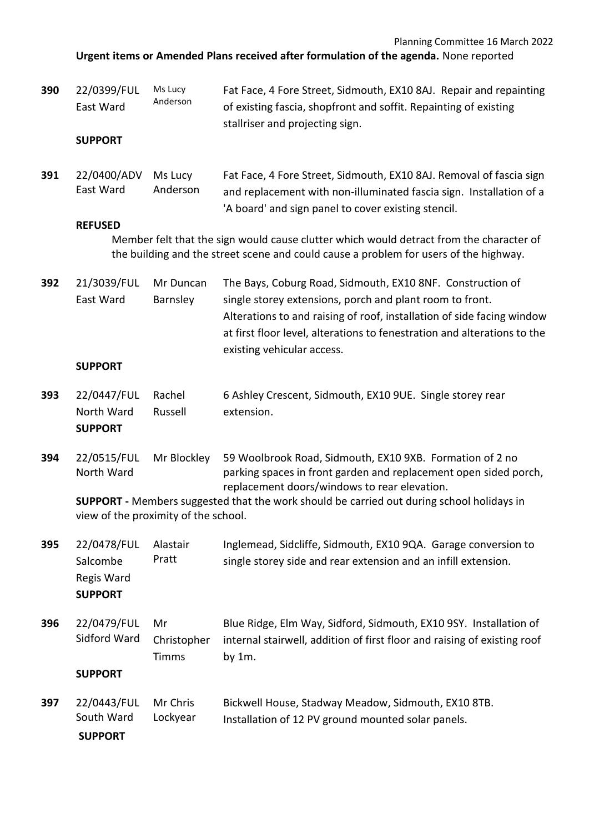Planning Committee 16 March 2022

**Urgent items or Amended Plans received after formulation of the agenda.** None reported

| 390 | 22/0399/FUL<br>East Ward<br><b>SUPPORT</b>                                                                                                                                       | Ms Lucy<br>Anderson               | Fat Face, 4 Fore Street, Sidmouth, EX10 8AJ. Repair and repainting<br>of existing fascia, shopfront and soffit. Repainting of existing<br>stallriser and projecting sign.                                                                                                                                  |  |  |  |
|-----|----------------------------------------------------------------------------------------------------------------------------------------------------------------------------------|-----------------------------------|------------------------------------------------------------------------------------------------------------------------------------------------------------------------------------------------------------------------------------------------------------------------------------------------------------|--|--|--|
|     |                                                                                                                                                                                  |                                   |                                                                                                                                                                                                                                                                                                            |  |  |  |
| 391 | 22/0400/ADV<br>East Ward                                                                                                                                                         | Ms Lucy<br>Anderson               | Fat Face, 4 Fore Street, Sidmouth, EX10 8AJ. Removal of fascia sign<br>and replacement with non-illuminated fascia sign. Installation of a<br>'A board' and sign panel to cover existing stencil.                                                                                                          |  |  |  |
|     | <b>REFUSED</b>                                                                                                                                                                   |                                   |                                                                                                                                                                                                                                                                                                            |  |  |  |
|     | Member felt that the sign would cause clutter which would detract from the character of<br>the building and the street scene and could cause a problem for users of the highway. |                                   |                                                                                                                                                                                                                                                                                                            |  |  |  |
| 392 | 21/3039/FUL<br>East Ward                                                                                                                                                         | Mr Duncan<br>Barnsley             | The Bays, Coburg Road, Sidmouth, EX10 8NF. Construction of<br>single storey extensions, porch and plant room to front.<br>Alterations to and raising of roof, installation of side facing window<br>at first floor level, alterations to fenestration and alterations to the<br>existing vehicular access. |  |  |  |
|     | <b>SUPPORT</b>                                                                                                                                                                   |                                   |                                                                                                                                                                                                                                                                                                            |  |  |  |
| 393 | 22/0447/FUL<br>North Ward                                                                                                                                                        | Rachel<br>Russell                 | 6 Ashley Crescent, Sidmouth, EX10 9UE. Single storey rear<br>extension.                                                                                                                                                                                                                                    |  |  |  |
|     | <b>SUPPORT</b>                                                                                                                                                                   |                                   |                                                                                                                                                                                                                                                                                                            |  |  |  |
| 394 | 22/0515/FUL<br>North Ward                                                                                                                                                        | Mr Blockley                       | 59 Woolbrook Road, Sidmouth, EX10 9XB. Formation of 2 no<br>parking spaces in front garden and replacement open sided porch,<br>replacement doors/windows to rear elevation.                                                                                                                               |  |  |  |
|     | <b>SUPPORT</b> - Members suggested that the work should be carried out during school holidays in<br>view of the proximity of the school.                                         |                                   |                                                                                                                                                                                                                                                                                                            |  |  |  |
| 395 | 22/0478/FUL<br>Salcombe<br>Regis Ward<br><b>SUPPORT</b>                                                                                                                          | Alastair<br>Pratt                 | Inglemead, Sidcliffe, Sidmouth, EX10 9QA. Garage conversion to<br>single storey side and rear extension and an infill extension.                                                                                                                                                                           |  |  |  |
| 396 | 22/0479/FUL<br>Sidford Ward                                                                                                                                                      | Mr<br>Christopher<br><b>Timms</b> | Blue Ridge, Elm Way, Sidford, Sidmouth, EX10 9SY. Installation of<br>internal stairwell, addition of first floor and raising of existing roof<br>by $1m$ .                                                                                                                                                 |  |  |  |
|     | <b>SUPPORT</b>                                                                                                                                                                   |                                   |                                                                                                                                                                                                                                                                                                            |  |  |  |
| 397 | 22/0443/FUL<br>South Ward<br><b>SUPPORT</b>                                                                                                                                      | Mr Chris<br>Lockyear              | Bickwell House, Stadway Meadow, Sidmouth, EX10 8TB.<br>Installation of 12 PV ground mounted solar panels.                                                                                                                                                                                                  |  |  |  |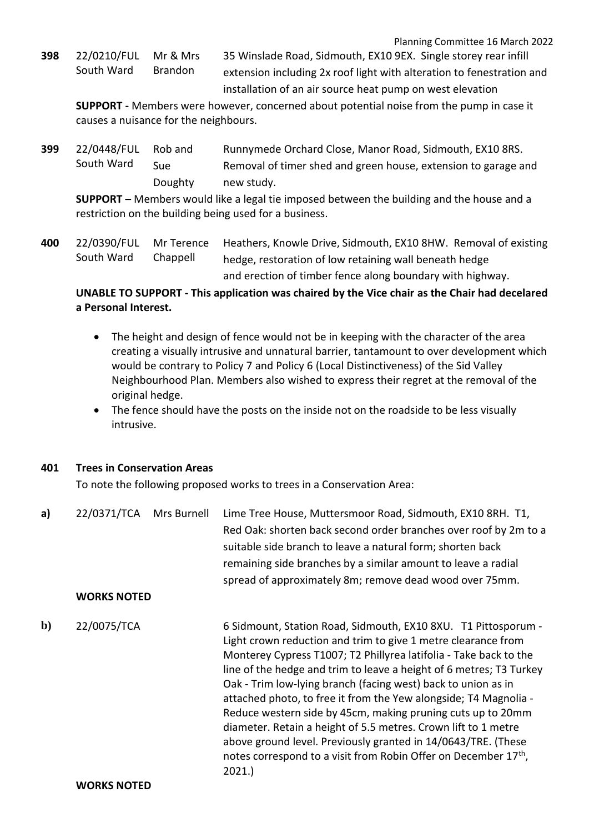Planning Committee 16 March 2022

**398** 22/0210/FUL South Ward Mr & Mrs Brandon

35 Winslade Road, Sidmouth, EX10 9EX. Single storey rear infill extension including 2x roof light with alteration to fenestration and installation of an air source heat pump on west elevation

**SUPPORT -** Members were however, concerned about potential noise from the pump in case it causes a nuisance for the neighbours.

**399** 22/0448/FUL South Ward Rob and Sue Doughty Runnymede Orchard Close, Manor Road, Sidmouth, EX10 8RS. Removal of timer shed and green house, extension to garage and new study.

**SUPPORT –** Members would like a legal tie imposed between the building and the house and a restriction on the building being used for a business.

**400** 22/0390/FUL South Ward Mr Terence Chappell Heathers, Knowle Drive, Sidmouth, EX10 8HW. Removal of existing hedge, restoration of low retaining wall beneath hedge and erection of timber fence along boundary with highway.

# **UNABLE TO SUPPORT - This application was chaired by the Vice chair as the Chair had decelared a Personal Interest.**

- The height and design of fence would not be in keeping with the character of the area creating a visually intrusive and unnatural barrier, tantamount to over development which would be contrary to Policy 7 and Policy 6 (Local Distinctiveness) of the Sid Valley Neighbourhood Plan. Members also wished to express their regret at the removal of the original hedge.
- The fence should have the posts on the inside not on the roadside to be less visually intrusive.

## **401 Trees in Conservation Areas**

To note the following proposed works to trees in a Conservation Area:

**a)** 22/0371/TCA Mrs Burnell Lime Tree House, Muttersmoor Road, Sidmouth, EX10 8RH. T1, Red Oak: shorten back second order branches over roof by 2m to a suitable side branch to leave a natural form; shorten back remaining side branches by a similar amount to leave a radial spread of approximately 8m; remove dead wood over 75mm.

## **WORKS NOTED**

**b)** 22/0075/TCA 6 Sidmount, Station Road, Sidmouth, EX10 8XU. T1 Pittosporum - Light crown reduction and trim to give 1 metre clearance from Monterey Cypress T1007; T2 Phillyrea latifolia - Take back to the line of the hedge and trim to leave a height of 6 metres; T3 Turkey Oak - Trim low-lying branch (facing west) back to union as in attached photo, to free it from the Yew alongside; T4 Magnolia - Reduce western side by 45cm, making pruning cuts up to 20mm diameter. Retain a height of 5.5 metres. Crown lift to 1 metre above ground level. Previously granted in 14/0643/TRE. (These notes correspond to a visit from Robin Offer on December 17<sup>th</sup>, 2021.)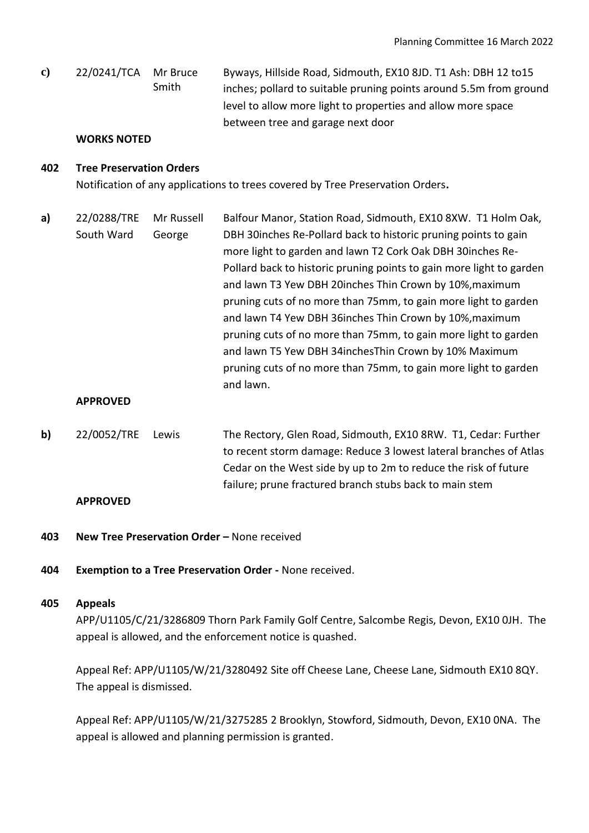**c)** 22/0241/TCA Mr Bruce Smith Byways, Hillside Road, Sidmouth, EX10 8JD. T1 Ash: DBH 12 to15 inches; pollard to suitable pruning points around 5.5m from ground level to allow more light to properties and allow more space between tree and garage next door

#### **WORKS NOTED**

## **402 Tree Preservation Orders**

Notification of any applications to trees covered by Tree Preservation Orders**.**

**a)** 22/0288/TRE South Ward Mr Russell George Balfour Manor, Station Road, Sidmouth, EX10 8XW. T1 Holm Oak, DBH 30inches Re-Pollard back to historic pruning points to gain more light to garden and lawn T2 Cork Oak DBH 30inches Re-Pollard back to historic pruning points to gain more light to garden and lawn T3 Yew DBH 20inches Thin Crown by 10%,maximum pruning cuts of no more than 75mm, to gain more light to garden and lawn T4 Yew DBH 36inches Thin Crown by 10%,maximum pruning cuts of no more than 75mm, to gain more light to garden and lawn T5 Yew DBH 34inchesThin Crown by 10% Maximum pruning cuts of no more than 75mm, to gain more light to garden and lawn.

#### **APPROVED**

**b)** 22/0052/TRE Lewis The Rectory, Glen Road, Sidmouth, EX10 8RW. T1, Cedar: Further to recent storm damage: Reduce 3 lowest lateral branches of Atlas Cedar on the West side by up to 2m to reduce the risk of future failure; prune fractured branch stubs back to main stem

#### **APPROVED**

- **403 New Tree Preservation Order –** None received
- **404 Exemption to a Tree Preservation Order -** None received.

#### **405 Appeals**

APP/U1105/C/21/3286809 Thorn Park Family Golf Centre, Salcombe Regis, Devon, EX10 0JH. The appeal is allowed, and the enforcement notice is quashed.

Appeal Ref: APP/U1105/W/21/3280492 Site off Cheese Lane, Cheese Lane, Sidmouth EX10 8QY. The appeal is dismissed.

Appeal Ref: APP/U1105/W/21/3275285 2 Brooklyn, Stowford, Sidmouth, Devon, EX10 0NA. The appeal is allowed and planning permission is granted.